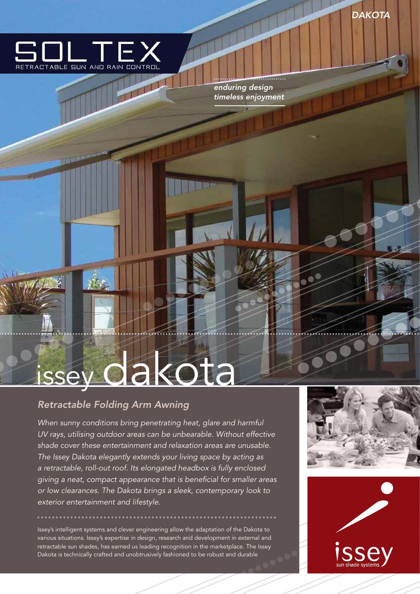

The Li

*enduring design timeless enjoyment*

# issey dakota

# *Retractable Folding Arm Awning*

*When sunny conditions bring penetrating heat, glare and harmful UV rays, utilising outdoor areas can be unbearable. Without effective shade cover these entertainment and relaxation areas are unusable. The Issey Dakota elegantly extends your living space by acting as a retractable, roll-out roof. Its elongated headbox is fully enclosed giving a neat, compact appearance that is beneficial for smaller areas or low clearances. The Dakota brings a sleek, contemporary look to exterior entertainment and lifestyle.*

Issey's intelligent systems and clever engineering allow the adaptation of the Dakota to various situations. Issey's expertise in design, research and development in external and retractable sun shades, has earned us leading recognition in the marketplace. The Issey Dakota is technically crafted and unobtrusively fashioned to be robust and durable



*<u>ALLAND</u>*